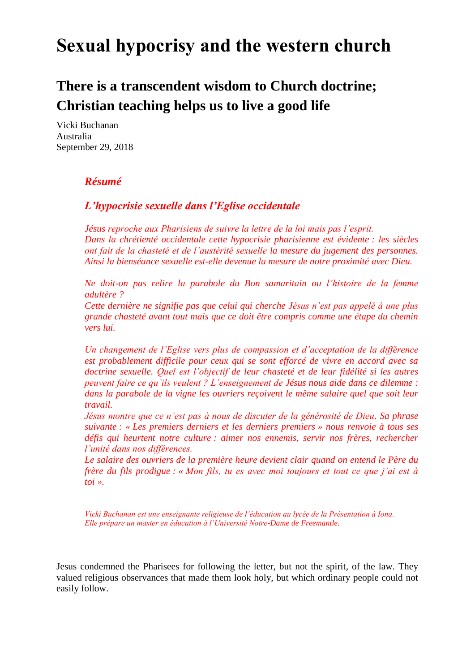## **Sexual hypocrisy and the western church**

## **There is a transcendent wisdom to Church doctrine; Christian teaching helps us to live a good life**

Vicki Buchanan Australia September 29, 2018

## *Résumé*

## *L'hypocrisie sexuelle dans l'Eglise occidentale*

*Jésus reproche aux Pharisiens de suivre la lettre de la loi mais pas l'esprit. Dans la chrétienté occidentale cette hypocrisie pharisienne est évidente : les siècles ont fait de la chasteté et de l'austérité sexuelle la mesure du jugement des personnes. Ainsi la bienséance sexuelle est-elle devenue la mesure de notre proximité avec Dieu.*

*Ne doit-on pas relire la parabole du Bon samaritain ou l'histoire de la femme adultère ?*

*Cette dernière ne signifie pas que celui qui cherche Jésus n'est pas appelé à une plus grande chasteté avant tout mais que ce doit être compris comme une étape du chemin vers lui.*

*Un changement de l'Eglise vers plus de compassion et d'acceptation de la différence est probablement difficile pour ceux qui se sont efforcé de vivre en accord avec sa doctrine sexuelle. Quel est l'objectif de leur chasteté et de leur fidélité si les autres peuvent faire ce qu'ils veulent ? L'enseignement de Jésus nous aide dans ce dilemme : dans la parabole de la vigne les ouvriers reçoivent le même salaire quel que soit leur travail.*

*Jésus montre que ce n'est pas à nous de discuter de la générosité de Dieu. Sa phrase suivante : « Les premiers derniers et les derniers premiers » nous renvoie à tous ses défis qui heurtent notre culture : aimer nos ennemis, servir nos frères, rechercher l'unité dans nos différences.*

*Le salaire des ouvriers de la première heure devient clair quand on entend le Père du frère du fils prodigue : « Mon fils, tu es avec moi toujours et tout ce que j'ai est à toi ».*

*Vicki Buchanan est une enseignante religieuse de l'éducation au lycée de la Présentation à Iona. Elle prépare un master en éducation à l'Université Notre-Dame de Freemantle.*

Jesus condemned the Pharisees for following the letter, but not the spirit, of the law. They valued religious observances that made them look holy, but which ordinary people could not easily follow.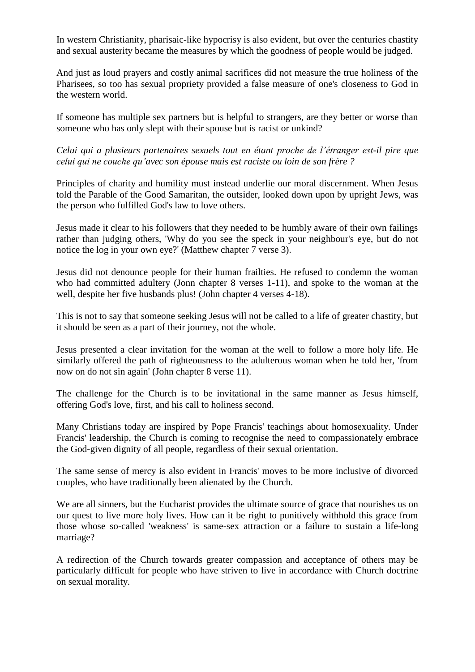In western Christianity, pharisaic-like hypocrisy is also evident, but over the centuries chastity and sexual austerity became the measures by which the goodness of people would be judged.

And just as loud prayers and costly animal sacrifices did not measure the true holiness of the Pharisees, so too has sexual propriety provided a false measure of one's closeness to God in the western world.

If someone has multiple sex partners but is helpful to strangers, are they better or worse than someone who has only slept with their spouse but is racist or unkind?

*Celui qui a plusieurs partenaires sexuels tout en étant proche de l'étranger est-il pire que celui qui ne couche qu'avec son épouse mais est raciste ou loin de son frère ?*

Principles of charity and humility must instead underlie our moral discernment. When Jesus told the Parable of the Good Samaritan, the outsider, looked down upon by upright Jews, was the person who fulfilled God's law to love others.

Jesus made it clear to his followers that they needed to be humbly aware of their own failings rather than judging others, 'Why do you see the speck in your neighbour's eye, but do not notice the log in your own eye?' (Matthew chapter 7 verse 3).

Jesus did not denounce people for their human frailties. He refused to condemn the woman who had committed adultery (Jonn chapter 8 verses 1-11), and spoke to the woman at the well, despite her five husbands plus! (John chapter 4 verses 4-18).

This is not to say that someone seeking Jesus will not be called to a life of greater chastity, but it should be seen as a part of their journey, not the whole.

Jesus presented a clear invitation for the woman at the well to follow a more holy life. He similarly offered the path of righteousness to the adulterous woman when he told her, 'from now on do not sin again' (John chapter 8 verse 11).

The challenge for the Church is to be invitational in the same manner as Jesus himself, offering God's love, first, and his call to holiness second.

Many Christians today are inspired by Pope Francis' teachings about homosexuality. Under Francis' leadership, the Church is coming to recognise the need to compassionately embrace the God-given dignity of all people, regardless of their sexual orientation.

The same sense of mercy is also evident in Francis' moves to be more inclusive of divorced couples, who have traditionally been alienated by the Church.

We are all sinners, but the Eucharist provides the ultimate source of grace that nourishes us on our quest to live more holy lives. How can it be right to punitively withhold this grace from those whose so-called 'weakness' is same-sex attraction or a failure to sustain a life-long marriage?

A redirection of the Church towards greater compassion and acceptance of others may be particularly difficult for people who have striven to live in accordance with Church doctrine on sexual morality.